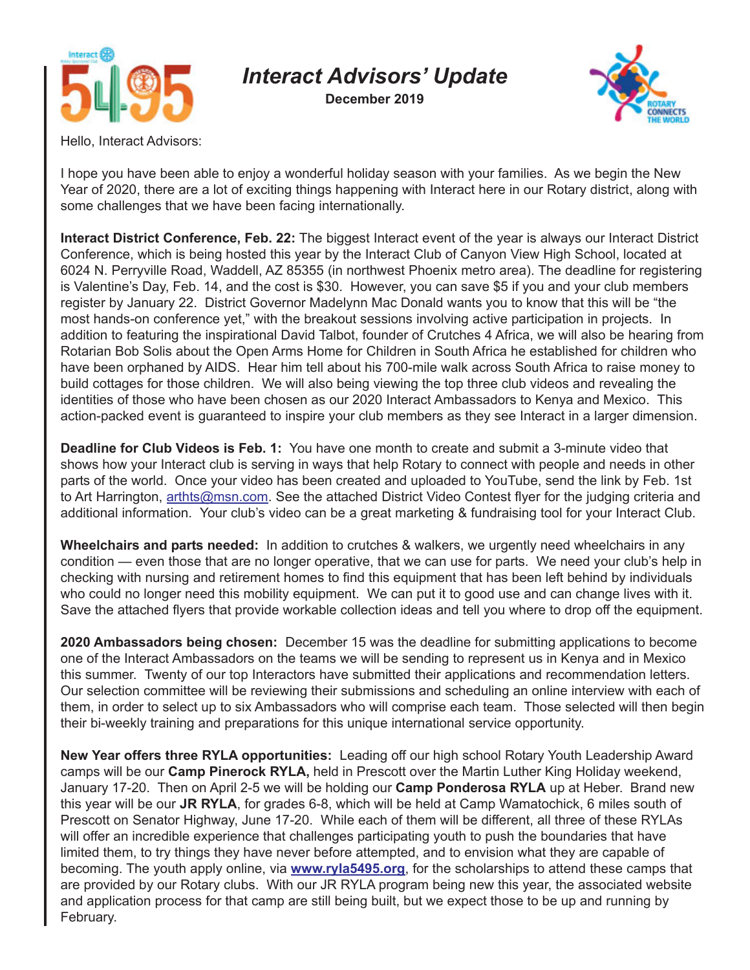

## *Interact Advisors' Update*

**December 2019**



Hello, Interact Advisors:

I hope you have been able to enjoy a wonderful holiday season with your families. As we begin the New Year of 2020, there are a lot of exciting things happening with Interact here in our Rotary district, along with some challenges that we have been facing internationally.

**Interact District Conference, Feb. 22:** The biggest Interact event of the year is always our Interact District Conference, which is being hosted this year by the Interact Club of Canyon View High School, located at 6024 N. Perryville Road, Waddell, AZ 85355 (in northwest Phoenix metro area). The deadline for registering is Valentine's Day, Feb. 14, and the cost is \$30. However, you can save \$5 if you and your club members register by January 22. District Governor Madelynn Mac Donald wants you to know that this will be "the most hands-on conference yet," with the breakout sessions involving active participation in projects. In addition to featuring the inspirational David Talbot, founder of Crutches 4 Africa, we will also be hearing from Rotarian Bob Solis about the Open Arms Home for Children in South Africa he established for children who have been orphaned by AIDS. Hear him tell about his 700-mile walk across South Africa to raise money to build cottages for those children. We will also being viewing the top three club videos and revealing the identities of those who have been chosen as our 2020 Interact Ambassadors to Kenya and Mexico. This action-packed event is guaranteed to inspire your club members as they see Interact in a larger dimension.

**Deadline for Club Videos is Feb. 1:** You have one month to create and submit a 3-minute video that shows how your Interact club is serving in ways that help Rotary to connect with people and needs in other parts of the world. Once your video has been created and uploaded to YouTube, send the link by Feb. 1st to Art Harrington, arthts@msn.com. See the attached District Video Contest flyer for the judging criteria and additional information. Your club's video can be a great marketing & fundraising tool for your Interact Club.

**Wheelchairs and parts needed:** In addition to crutches & walkers, we urgently need wheelchairs in any condition — even those that are no longer operative, that we can use for parts. We need your club's help in checking with nursing and retirement homes to find this equipment that has been left behind by individuals who could no longer need this mobility equipment. We can put it to good use and can change lives with it. Save the attached flyers that provide workable collection ideas and tell you where to drop off the equipment.

**2020 Ambassadors being chosen:** December 15 was the deadline for submitting applications to become one of the Interact Ambassadors on the teams we will be sending to represent us in Kenya and in Mexico this summer. Twenty of our top Interactors have submitted their applications and recommendation letters. Our selection committee will be reviewing their submissions and scheduling an online interview with each of them, in order to select up to six Ambassadors who will comprise each team. Those selected will then begin their bi-weekly training and preparations for this unique international service opportunity.

**New Year offers three RYLA opportunities:** Leading off our high school Rotary Youth Leadership Award camps will be our **Camp Pinerock RYLA,** held in Prescott over the Martin Luther King Holiday weekend, January 17-20. Then on April 2-5 we will be holding our **Camp Ponderosa RYLA** up at Heber. Brand new this year will be our **JR RYLA**, for grades 6-8, which will be held at Camp Wamatochick, 6 miles south of Prescott on Senator Highway, June 17-20. While each of them will be different, all three of these RYLAs will offer an incredible experience that challenges participating youth to push the boundaries that have limited them, to try things they have never before attempted, and to envision what they are capable of becoming. The youth apply online, via **www.ryla5495.org**, for the scholarships to attend these camps that are provided by our Rotary clubs. With our JR RYLA program being new this year, the associated website and application process for that camp are still being built, but we expect those to be up and running by February.